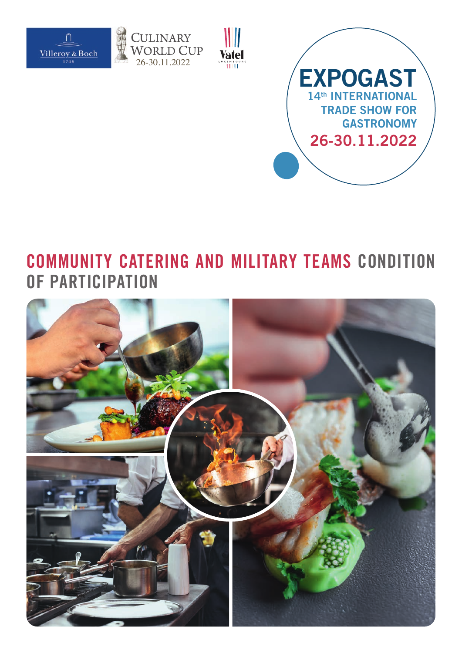







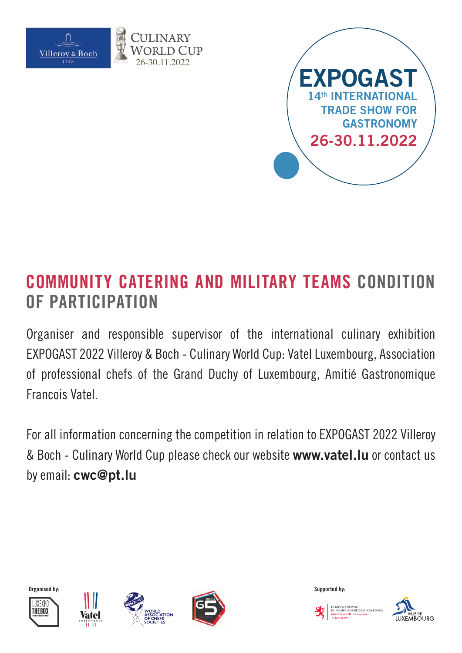

26-30.11.2022



# **COMMUNITY CATERING AND MILITARY TEAMS CONDITION OF PARTICIPATION**

Organiser and responsible supervisor of the international culinary exhibition EXPOGAST 2022 Villeroy & Boch - Culinary World Cup: Vatel Luxembourg, Association of professional chefs of the Grand Duchy of Luxembourg, Amitié Gastronomique Francois Vatel.

For all information concerning the competition in relation to EXPOGAST 2022 Villeroy & Boch - Culinary World Cup please check our website **www.vatel.lu** or contact us by email: **cwc@pt.lu**













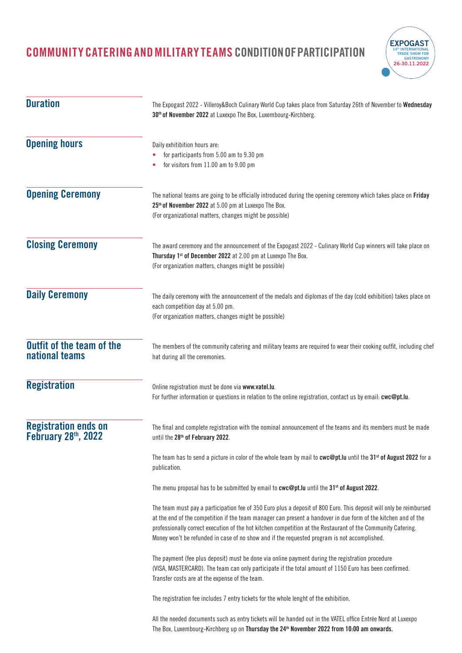

| <b>Duration</b>                                                 | The Expogast 2022 - Villeroy&Boch Culinary World Cup takes place from Saturday 26th of November to Wednesday<br>30 <sup>th</sup> of November 2022 at Luxexpo The Box, Luxembourg-Kirchberg.                                                                                                                                                                                                                                                          |  |
|-----------------------------------------------------------------|------------------------------------------------------------------------------------------------------------------------------------------------------------------------------------------------------------------------------------------------------------------------------------------------------------------------------------------------------------------------------------------------------------------------------------------------------|--|
| <b>Opening hours</b>                                            | Daily exhitibition hours are:<br>for participants from 5.00 am to 9.30 pm<br>for visitors from 11.00 am to 9.00 pm                                                                                                                                                                                                                                                                                                                                   |  |
| <b>Opening Ceremony</b>                                         | The national teams are going to be officially introduced during the opening ceremony which takes place on Friday<br>25 <sup>th</sup> of November 2022 at 5.00 pm at Luxexpo The Box.<br>(For organizational matters, changes might be possible)                                                                                                                                                                                                      |  |
| <b>Closing Ceremony</b>                                         | The award ceremony and the announcement of the Expogast 2022 - Culinary World Cup winners will take place on<br>Thursday 1st of December 2022 at 2.00 pm at Luxexpo The Box.<br>(For organization matters, changes might be possible)                                                                                                                                                                                                                |  |
| <b>Daily Ceremony</b>                                           | The daily ceremony with the announcement of the medals and diplomas of the day (cold exhibition) takes place on<br>each competition day at 5.00 pm.<br>(For organization matters, changes might be possible)                                                                                                                                                                                                                                         |  |
| <b>Outfit of the team of the</b><br>national teams              | The members of the community catering and military teams are required to wear their cooking outfit, including chef<br>hat during all the ceremonies.                                                                                                                                                                                                                                                                                                 |  |
| <b>Registration</b>                                             | Online registration must be done via www.vatel.lu.<br>For further information or questions in relation to the online registration, contact us by email: cwc@pt.lu.                                                                                                                                                                                                                                                                                   |  |
| <b>Registration ends on</b><br>February 28 <sup>th</sup> , 2022 | The final and complete registration with the nominal announcement of the teams and its members must be made<br>until the 28 <sup>th</sup> of February 2022.                                                                                                                                                                                                                                                                                          |  |
|                                                                 | The team has to send a picture in color of the whole team by mail to cwc@pt. Iu until the 31 <sup>st</sup> of August 2022 for a<br>publication.                                                                                                                                                                                                                                                                                                      |  |
|                                                                 | The menu proposal has to be submitted by email to cwc@pt.lu until the 31 <sup>st</sup> of August 2022.                                                                                                                                                                                                                                                                                                                                               |  |
|                                                                 | The team must pay a participation fee of 350 Euro plus a deposit of 800 Euro. This deposit will only be reimbursed<br>at the end of the competition if the team manager can present a handover in due form of the kitchen and of the<br>professionally correct execution of the hot kitchen competition at the Restaurant of the Community Catering.<br>Money won't be refunded in case of no show and if the requested program is not accomplished. |  |
|                                                                 | The payment (fee plus deposit) must be done via online payment during the registration procedure<br>(VISA, MASTERCARD). The team can only participate if the total amount of 1150 Euro has been confirmed.<br>Transfer costs are at the expense of the team.                                                                                                                                                                                         |  |
|                                                                 | The registration fee includes 7 entry tickets for the whole lenght of the exhibition.                                                                                                                                                                                                                                                                                                                                                                |  |
|                                                                 | All the needed documents such as entry tickets will be handed out in the VATEL office Entrée Nord at Luxexpo<br>The Box, Luxembourg-Kirchberg up on Thursday the 24 <sup>th</sup> November 2022 from 10:00 am onwards.                                                                                                                                                                                                                               |  |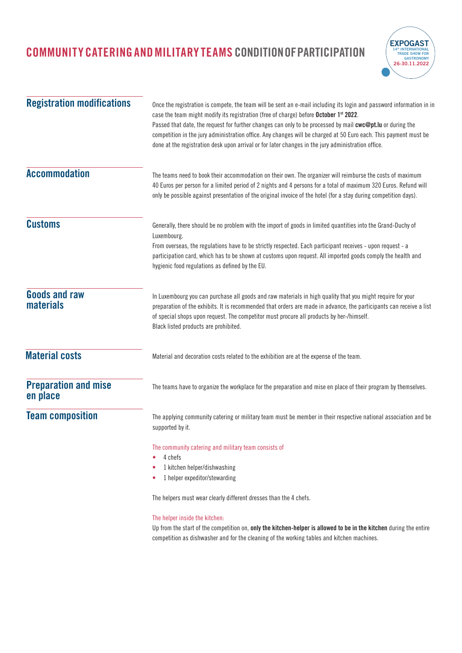

| <b>Registration modifications</b>        | Once the registration is compete, the team will be sent an e-mail including its login and password information in in<br>case the team might modify its registration (free of charge) before October 1st 2022.<br>Passed that date, the request for further changes can only to be processed by mail cwc@pt.lu or during the<br>competition in the jury administration office. Any changes will be charged at 50 Euro each. This payment must be<br>done at the registration desk upon arrival or for later changes in the jury administration office. |
|------------------------------------------|-------------------------------------------------------------------------------------------------------------------------------------------------------------------------------------------------------------------------------------------------------------------------------------------------------------------------------------------------------------------------------------------------------------------------------------------------------------------------------------------------------------------------------------------------------|
| <b>Accommodation</b>                     | The teams need to book their accommodation on their own. The organizer will reimburse the costs of maximum<br>40 Euros per person for a limited period of 2 nights and 4 persons for a total of maximum 320 Euros. Refund will<br>only be possible against presentation of the original invoice of the hotel (for a stay during competition days).                                                                                                                                                                                                    |
| <b>Customs</b>                           | Generally, there should be no problem with the import of goods in limited quantities into the Grand-Duchy of<br>Luxembourg.<br>From overseas, the regulations have to be strictly respected. Each participant receives - upon request - a<br>participation card, which has to be shown at customs upon request. All imported goods comply the health and<br>hygienic food regulations as defined by the EU.                                                                                                                                           |
| <b>Goods and raw</b><br><b>materials</b> | In Luxembourg you can purchase all goods and raw materials in high quality that you might require for your<br>preparation of the exhibits. It is recommended that orders are made in advance, the participants can receive a list<br>of special shops upon request. The competitor must procure all products by her-/himself.<br>Black listed products are prohibited.                                                                                                                                                                                |
| <b>Material costs</b>                    | Material and decoration costs related to the exhibition are at the expense of the team.                                                                                                                                                                                                                                                                                                                                                                                                                                                               |
| <b>Preparation and mise</b><br>en place  | The teams have to organize the workplace for the preparation and mise en place of their program by themselves.                                                                                                                                                                                                                                                                                                                                                                                                                                        |
| <b>Team composition</b>                  | The applying community catering or military team must be member in their respective national association and be<br>supported by it.                                                                                                                                                                                                                                                                                                                                                                                                                   |
|                                          | The community catering and military team consists of<br>4 chefs<br>۰<br>1 kitchen helper/dishwashing<br>٠<br>1 helper expeditor/stewarding<br>The helpers must wear clearly different dresses than the 4 chefs.                                                                                                                                                                                                                                                                                                                                       |
|                                          | The helper inside the kitchen:<br>Up from the start of the competition on, only the kitchen-helper is allowed to be in the kitchen during the entire<br>competition as dishwasher and for the cleaning of the working tables and kitchen machines.                                                                                                                                                                                                                                                                                                    |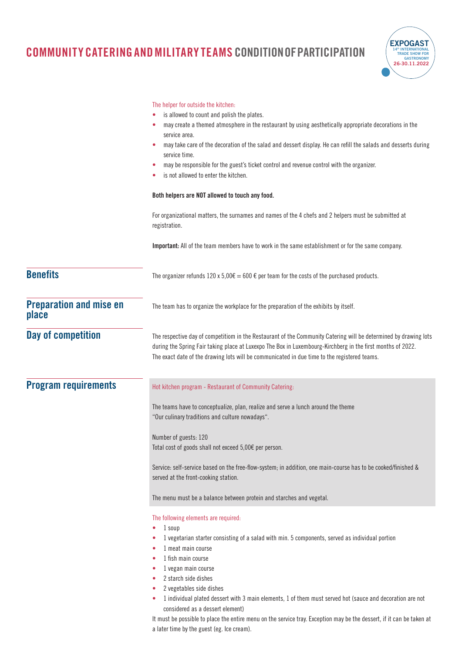

|                                         | The helper for outside the kitchen:<br>is allowed to count and polish the plates.<br>may create a themed atmosphere in the restaurant by using aesthetically appropriate decorations in the<br>service area.<br>may take care of the decoration of the salad and dessert display. He can refill the salads and desserts during<br>service time.<br>may be responsible for the guest's ticket control and revenue control with the organizer.<br>is not allowed to enter the kitchen.                                                                                             |
|-----------------------------------------|----------------------------------------------------------------------------------------------------------------------------------------------------------------------------------------------------------------------------------------------------------------------------------------------------------------------------------------------------------------------------------------------------------------------------------------------------------------------------------------------------------------------------------------------------------------------------------|
|                                         | Both helpers are NOT allowed to touch any food.                                                                                                                                                                                                                                                                                                                                                                                                                                                                                                                                  |
|                                         | For organizational matters, the surnames and names of the 4 chefs and 2 helpers must be submitted at<br>registration.                                                                                                                                                                                                                                                                                                                                                                                                                                                            |
|                                         | Important: All of the team members have to work in the same establishment or for the same company.                                                                                                                                                                                                                                                                                                                                                                                                                                                                               |
| <b>Benefits</b>                         | The organizer refunds 120 x 5,00 $\epsilon$ = 600 $\epsilon$ per team for the costs of the purchased products.                                                                                                                                                                                                                                                                                                                                                                                                                                                                   |
| <b>Preparation and mise en</b><br>place | The team has to organize the workplace for the preparation of the exhibits by itself.                                                                                                                                                                                                                                                                                                                                                                                                                                                                                            |
| Day of competition                      | The respective day of competitiom in the Restaurant of the Community Catering will be determined by drawing lots<br>during the Spring Fair taking place at Luxexpo The Box in Luxembourg-Kirchberg in the first months of 2022.<br>The exact date of the drawing lots will be communicated in due time to the registered teams.                                                                                                                                                                                                                                                  |
| <b>Program requirements</b>             | Hot kitchen program - Restaurant of Community Catering:                                                                                                                                                                                                                                                                                                                                                                                                                                                                                                                          |
|                                         | The teams have to conceptualize, plan, realize and serve a lunch around the theme<br>"Our culinary traditions and culture nowadays".                                                                                                                                                                                                                                                                                                                                                                                                                                             |
|                                         | Number of guests: 120<br>Total cost of goods shall not exceed 5,00€ per person.                                                                                                                                                                                                                                                                                                                                                                                                                                                                                                  |
|                                         | Service: self-service based on the free-flow-system; in addition, one main-course has to be cooked/finished &<br>served at the front-cooking station.                                                                                                                                                                                                                                                                                                                                                                                                                            |
|                                         | The menu must be a balance between protein and starches and vegetal.                                                                                                                                                                                                                                                                                                                                                                                                                                                                                                             |
|                                         | The following elements are required:<br>1 soup<br>۰<br>1 vegetarian starter consisting of a salad with min. 5 components, served as individual portion<br>۰<br>1 meat main course<br>1 fish main course<br>٠<br>1 vegan main course<br>۰<br>2 starch side dishes<br>۰<br>2 vegetables side dishes<br>۰<br>1 individual plated dessert with 3 main elements, 1 of them must served hot (sauce and decoration are not<br>considered as a dessert element)<br>It must be possible to place the entire menu on the service tray. Exception may be the dessert, if it can be taken at |

a later time by the guest (eg. Ice cream).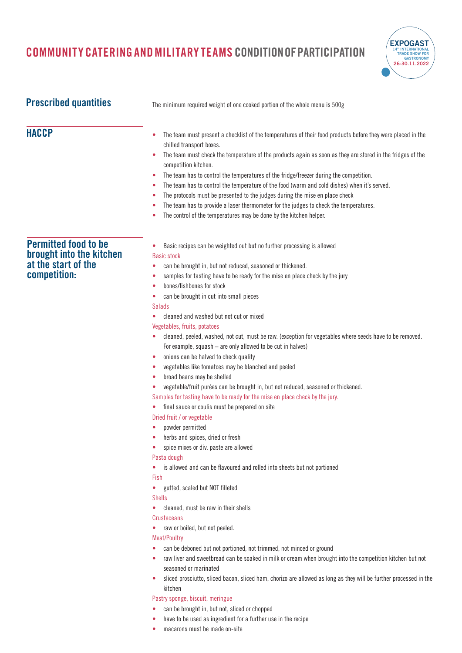

| <b>Prescribed quantities</b>                                                                   | The minimum required weight of one cooked portion of the whole menu is 500g                                                                                                                                                                                                                                                                                                                                                                                                                                                                                                                                                                                                                                                                                                                                                                                                                                                                                                                                                                                                                                                                                                                                                                                                                                                                                                                                                                                                                                                                                                                                                                                                                                                                                                                                                                 |  |
|------------------------------------------------------------------------------------------------|---------------------------------------------------------------------------------------------------------------------------------------------------------------------------------------------------------------------------------------------------------------------------------------------------------------------------------------------------------------------------------------------------------------------------------------------------------------------------------------------------------------------------------------------------------------------------------------------------------------------------------------------------------------------------------------------------------------------------------------------------------------------------------------------------------------------------------------------------------------------------------------------------------------------------------------------------------------------------------------------------------------------------------------------------------------------------------------------------------------------------------------------------------------------------------------------------------------------------------------------------------------------------------------------------------------------------------------------------------------------------------------------------------------------------------------------------------------------------------------------------------------------------------------------------------------------------------------------------------------------------------------------------------------------------------------------------------------------------------------------------------------------------------------------------------------------------------------------|--|
| <b>HACCP</b>                                                                                   | The team must present a checklist of the temperatures of their food products before they were placed in the<br>۰<br>chilled transport boxes.<br>The team must check the temperature of the products again as soon as they are stored in the fridges of the<br>۰<br>competition kitchen.<br>The team has to control the temperatures of the fridge/freezer during the competition.<br>۰<br>The team has to control the temperature of the food (warm and cold dishes) when it's served.<br>$\bullet$<br>The protocols must be presented to the judges during the mise en place check<br>۰<br>The team has to provide a laser thermometer for the judges to check the temperatures.<br>The control of the temperatures may be done by the kitchen helper.<br>$\bullet$                                                                                                                                                                                                                                                                                                                                                                                                                                                                                                                                                                                                                                                                                                                                                                                                                                                                                                                                                                                                                                                                        |  |
| <b>Permitted food to be</b><br>brought into the kitchen<br>at the start of the<br>competition: | Basic recipes can be weighted out but no further processing is allowed<br><b>Basic stock</b><br>can be brought in, but not reduced, seasoned or thickened.<br>۰<br>samples for tasting have to be ready for the mise en place check by the jury<br>۰<br>bones/fishbones for stock<br>۰<br>can be brought in cut into small pieces<br>۰<br><b>Salads</b><br>cleaned and washed but not cut or mixed<br>Vegetables, fruits, potatoes<br>cleaned, peeled, washed, not cut, must be raw. (exception for vegetables where seeds have to be removed.<br>۰<br>For example, squash - are only allowed to be cut in halves)<br>onions can be halved to check quality<br>۰<br>vegetables like tomatoes may be blanched and peeled<br>$\bullet$<br>broad beans may be shelled<br>۰<br>vegetable/fruit purées can be brought in, but not reduced, seasoned or thickened.<br>۰<br>Samples for tasting have to be ready for the mise en place check by the jury.<br>final sauce or coulis must be prepared on site<br>۰<br>Dried fruit / or vegetable<br>powder permitted<br>herbs and spices, dried or fresh<br>٠<br>spice mixes or div. paste are allowed<br>Pasta dough<br>is allowed and can be flavoured and rolled into sheets but not portioned<br>۰<br>Fish<br>gutted, scaled but NOT filleted<br>$\bullet$<br><b>Shells</b><br>cleaned, must be raw in their shells<br>۰<br>Crustaceans<br>raw or boiled, but not peeled.<br>۰<br><b>Meat/Poultry</b><br>can be deboned but not portioned, not trimmed, not minced or ground<br>۰<br>raw liver and sweetbread can be soaked in milk or cream when brought into the competition kitchen but not<br>۰<br>seasoned or marinated<br>sliced prosciutto, sliced bacon, sliced ham, chorizo are allowed as long as they will be further processed in the<br>kitchen<br>Pastry sponge, biscuit, meringue |  |

- **•** can be brought in, but not, sliced or chopped
- **•** have to be used as ingredient for a further use in the recipe
- **•** macarons must be made on-site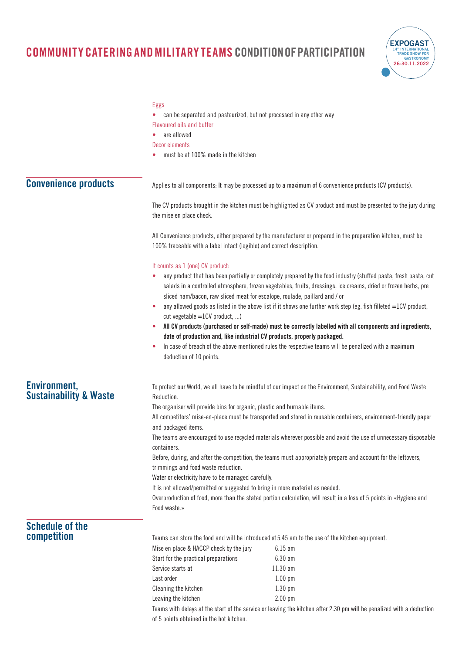

|                                                          | <b>Eggs</b><br><b>Flavoured oils and butter</b><br>are allowed<br>Decor elements<br>must be at 100% made in the kitchen                                                                                                                                                                                                                                                                                                                                                                                                                                                                                                                                                                                                                                                                                                                                                                                                         | can be separated and pasteurized, but not processed in any other way                                                                                                                                                                                                                                                                                                                                                                                                                                                                                                                                                                                                                                                                    |
|----------------------------------------------------------|---------------------------------------------------------------------------------------------------------------------------------------------------------------------------------------------------------------------------------------------------------------------------------------------------------------------------------------------------------------------------------------------------------------------------------------------------------------------------------------------------------------------------------------------------------------------------------------------------------------------------------------------------------------------------------------------------------------------------------------------------------------------------------------------------------------------------------------------------------------------------------------------------------------------------------|-----------------------------------------------------------------------------------------------------------------------------------------------------------------------------------------------------------------------------------------------------------------------------------------------------------------------------------------------------------------------------------------------------------------------------------------------------------------------------------------------------------------------------------------------------------------------------------------------------------------------------------------------------------------------------------------------------------------------------------------|
| <b>Convenience products</b>                              |                                                                                                                                                                                                                                                                                                                                                                                                                                                                                                                                                                                                                                                                                                                                                                                                                                                                                                                                 | Applies to all components: It may be processed up to a maximum of 6 convenience products (CV products).                                                                                                                                                                                                                                                                                                                                                                                                                                                                                                                                                                                                                                 |
|                                                          | the mise en place check.                                                                                                                                                                                                                                                                                                                                                                                                                                                                                                                                                                                                                                                                                                                                                                                                                                                                                                        | The CV products brought in the kitchen must be highlighted as CV product and must be presented to the jury during                                                                                                                                                                                                                                                                                                                                                                                                                                                                                                                                                                                                                       |
|                                                          | 100% traceable with a label intact (legible) and correct description.                                                                                                                                                                                                                                                                                                                                                                                                                                                                                                                                                                                                                                                                                                                                                                                                                                                           | All Convenience products, either prepared by the manufacturer or prepared in the preparation kitchen, must be                                                                                                                                                                                                                                                                                                                                                                                                                                                                                                                                                                                                                           |
|                                                          | It counts as 1 (one) CV product:<br>۰<br>cut vegetable $=1CV$ product, )<br>٠<br>۰<br>deduction of 10 points.                                                                                                                                                                                                                                                                                                                                                                                                                                                                                                                                                                                                                                                                                                                                                                                                                   | any product that has been partially or completely prepared by the food industry (stuffed pasta, fresh pasta, cut<br>salads in a controlled atmosphere, frozen vegetables, fruits, dressings, ice creams, dried or frozen herbs, pre<br>sliced ham/bacon, raw sliced meat for escalope, roulade, paillard and / or<br>any allowed goods as listed in the above list if it shows one further work step (eg. fish filleted $=$ 1CV product,<br>All CV products (purchased or self-made) must be correctly labelled with all components and ingredients,<br>date of production and, like industrial CV products, properly packaged.<br>In case of breach of the above mentioned rules the respective teams will be penalized with a maximum |
| <b>Environment,</b><br><b>Sustainability &amp; Waste</b> | To protect our World, we all have to be mindful of our impact on the Environment, Sustainability, and Food Waste<br>Reduction.<br>The organiser will provide bins for organic, plastic and burnable items.<br>All competitors' mise-en-place must be transported and stored in reusable containers, environment-friendly paper<br>and packaged items.<br>The teams are encouraged to use recycled materials wherever possible and avoid the use of unnecessary disposable<br>containers.<br>Before, during, and after the competition, the teams must appropriately prepare and account for the leftovers,<br>trimmings and food waste reduction.<br>Water or electricity have to be managed carefully.<br>It is not allowed/permitted or suggested to bring in more material as needed.<br>Overproduction of food, more than the stated portion calculation, will result in a loss of 5 points in «Hygiene and<br>Food waste.» |                                                                                                                                                                                                                                                                                                                                                                                                                                                                                                                                                                                                                                                                                                                                         |
| <b>Schedule of the</b><br>competition                    | Mise en place & HACCP check by the jury<br>Start for the practical preparations<br>Service starts at<br>Last order<br>Cleaning the kitchen<br>Leaving the kitchen                                                                                                                                                                                                                                                                                                                                                                                                                                                                                                                                                                                                                                                                                                                                                               | Teams can store the food and will be introduced at 5.45 am to the use of the kitchen equipment.<br>$6.15$ am<br>$6.30$ am<br>$11.30$ am<br>$1.00$ pm<br>$1.30$ pm<br>2.00 pm                                                                                                                                                                                                                                                                                                                                                                                                                                                                                                                                                            |

Teams with delays at the start of the service or leaving the kitchen after 2.30 pm will be penalized with a deduction of 5 points obtained in the hot kitchen.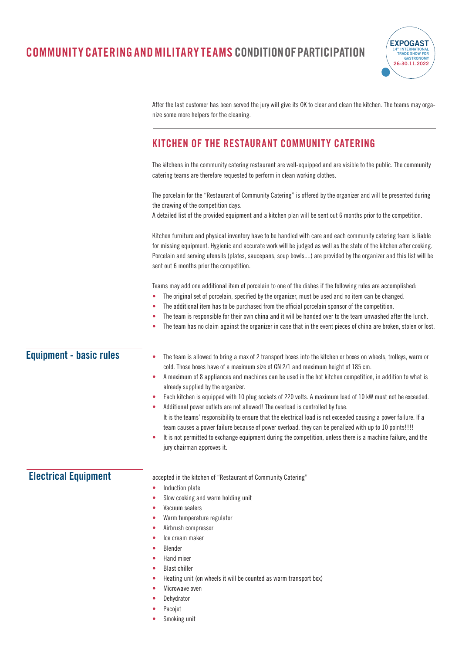

After the last customer has been served the jury will give its OK to clear and clean the kitchen. The teams may organize some more helpers for the cleaning.

#### **KITCHEN OF THE RESTAURANT COMMUNITY CATERING**

The kitchens in the community catering restaurant are well-equipped and are visible to the public. The community catering teams are therefore requested to perform in clean working clothes.

The porcelain for the "Restaurant of Community Catering" is offered by the organizer and will be presented during the drawing of the competition days.

A detailed list of the provided equipment and a kitchen plan will be sent out 6 months prior to the competition.

Kitchen furniture and physical inventory have to be handled with care and each community catering team is liable for missing equipment. Hygienic and accurate work will be judged as well as the state of the kitchen after cooking. Porcelain and serving utensils (plates, saucepans, soup bowls....) are provided by the organizer and this list will be sent out 6 months prior the competition.

Teams may add one additional item of porcelain to one of the dishes if the following rules are accomplished:

- **•** The original set of porcelain, specified by the organizer, must be used and no item can be changed.
- **•** The additional item has to be purchased from the official porcelain sponsor of the competition.
- **•** The team is responsible for their own china and it will be handed over to the team unwashed after the lunch.
- **•** The team has no claim against the organizer in case that in the event pieces of china are broken, stolen or lost.

| <b>Equipment - basic rules</b> | The team is allowed to bring a max of 2 transport boxes into the kitchen or boxes on wheels, trolleys, warm or<br>cold. Those boxes have of a maximum size of GN 2/1 and maximum height of 185 cm.<br>A maximum of 8 appliances and machines can be used in the hot kitchen competition, in addition to what is<br>already supplied by the organizer.<br>Each kitchen is equipped with 10 plug sockets of 220 volts. A maximum load of 10 kW must not be exceeded.<br>Additional power outlets are not allowed! The overload is controlled by fuse.<br>It is the teams' responsibility to ensure that the electrical load is not exceeded causing a power failure. If a<br>team causes a power failure because of power overload, they can be penalized with up to 10 points!!!!<br>It is not permitted to exchange equipment during the competition, unless there is a machine failure, and the<br>jury chairman approves it. |  |
|--------------------------------|--------------------------------------------------------------------------------------------------------------------------------------------------------------------------------------------------------------------------------------------------------------------------------------------------------------------------------------------------------------------------------------------------------------------------------------------------------------------------------------------------------------------------------------------------------------------------------------------------------------------------------------------------------------------------------------------------------------------------------------------------------------------------------------------------------------------------------------------------------------------------------------------------------------------------------|--|
| <b>Electrical Equipment</b>    | accepted in the kitchen of "Restaurant of Community Catering"<br>Induction plate<br>۰<br>Slow cooking and warm holding unit                                                                                                                                                                                                                                                                                                                                                                                                                                                                                                                                                                                                                                                                                                                                                                                                    |  |
|                                | Vacuum sealers<br>Warm temperature regulator                                                                                                                                                                                                                                                                                                                                                                                                                                                                                                                                                                                                                                                                                                                                                                                                                                                                                   |  |
|                                | Airbrush compressor<br>Ice cream maker<br><b>Blender</b>                                                                                                                                                                                                                                                                                                                                                                                                                                                                                                                                                                                                                                                                                                                                                                                                                                                                       |  |
|                                | Hand mixer<br><b>Blast chiller</b>                                                                                                                                                                                                                                                                                                                                                                                                                                                                                                                                                                                                                                                                                                                                                                                                                                                                                             |  |
|                                | Heating unit (on wheels it will be counted as warm transport box)<br>Microwave oven<br>Dehydrator                                                                                                                                                                                                                                                                                                                                                                                                                                                                                                                                                                                                                                                                                                                                                                                                                              |  |
|                                | $D - - - - -$                                                                                                                                                                                                                                                                                                                                                                                                                                                                                                                                                                                                                                                                                                                                                                                                                                                                                                                  |  |

- **•** Pacojet
- **•** Smoking unit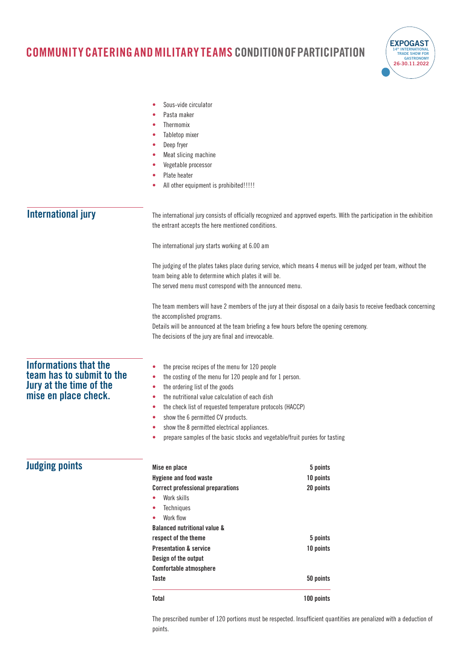

|                                                                                                              | Sous-vide circulator<br>Pasta maker<br>Thermomix<br>Tabletop mixer<br>Deep fryer<br>Meat slicing machine<br>Vegetable processor<br>Plate heater<br>All other equipment is prohibited!!!!!                                                                                                                                                                                                                                                                   |                                                                                                                         |
|--------------------------------------------------------------------------------------------------------------|-------------------------------------------------------------------------------------------------------------------------------------------------------------------------------------------------------------------------------------------------------------------------------------------------------------------------------------------------------------------------------------------------------------------------------------------------------------|-------------------------------------------------------------------------------------------------------------------------|
| <b>International jury</b>                                                                                    | the entrant accepts the here mentioned conditions.                                                                                                                                                                                                                                                                                                                                                                                                          | The international jury consists of officially recognized and approved experts. With the participation in the exhibition |
|                                                                                                              | The international jury starts working at 6.00 am                                                                                                                                                                                                                                                                                                                                                                                                            |                                                                                                                         |
|                                                                                                              | team being able to determine which plates it will be.<br>The served menu must correspond with the announced menu.                                                                                                                                                                                                                                                                                                                                           | The judging of the plates takes place during service, which means 4 menus will be judged per team, without the          |
|                                                                                                              | the accomplished programs.<br>Details will be announced at the team briefing a few hours before the opening ceremony.<br>The decisions of the jury are final and irrevocable.                                                                                                                                                                                                                                                                               | The team members will have 2 members of the jury at their disposal on a daily basis to receive feedback concerning      |
| <b>Informations that the</b><br>team has to submit to the<br>Jury at the time of the<br>mise en place check. | the precise recipes of the menu for 120 people<br>۰<br>the costing of the menu for 120 people and for 1 person.<br>۰<br>the ordering list of the goods<br>the nutritional value calculation of each dish<br>۰<br>the check list of requested temperature protocols (HACCP)<br>۰<br>show the 6 permitted CV products.<br>۰<br>show the 8 permitted electrical appliances.<br>prepare samples of the basic stocks and vegetable/fruit purées for tasting<br>۰ |                                                                                                                         |
| <b>Judging points</b>                                                                                        | Mise en place<br><b>Hygiene and food waste</b><br><b>Correct professional preparations</b><br>Work skills<br>Techniques<br>Work flow<br>۰<br><b>Balanced nutritional value &amp;</b><br>respect of the theme<br><b>Presentation &amp; service</b><br>Design of the output<br><b>Comfortable atmosphere</b>                                                                                                                                                  | 5 points<br>10 points<br>20 points<br>5 points<br>10 points                                                             |
|                                                                                                              | <b>Taste</b>                                                                                                                                                                                                                                                                                                                                                                                                                                                | 50 points                                                                                                               |

The prescribed number of 120 portions must be respected. Insufficient quantities are penalized with a deduction of points.

**Total 100 points**